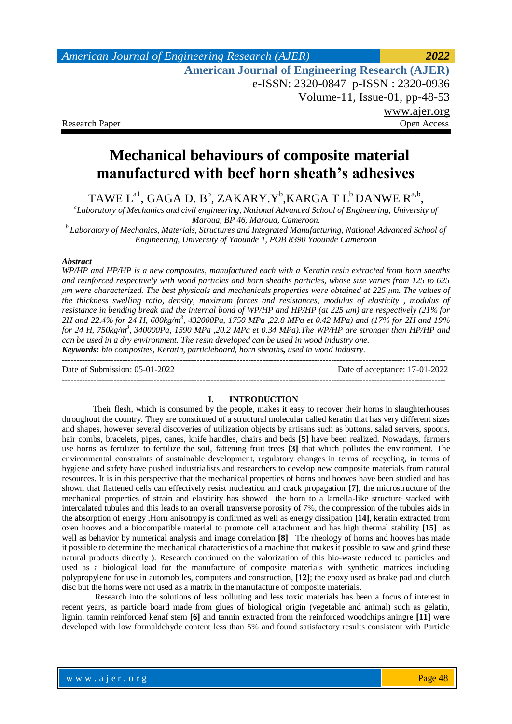# *American Journal of Engineering Research (AJER) 2022*  **American Journal of Engineering Research (AJER)** e-ISSN: 2320-0847 p-ISSN : 2320-0936 Volume-11, Issue-01, pp-48-53 www.ajer.org Research Paper **Open Access**

# **Mechanical behaviours of composite material manufactured with beef horn sheath's adhesives**

TAWE  $L^{a1}$ , GAGA D. B<sup>b</sup>, ZAKARY.Y<sup>b</sup>, KARGA T  $L^b$  DANWE  $R^{a,b}$ ,

*a Laboratory of Mechanics and civil engineering, National Advanced School of Engineering, University of Maroua, BP 46, Maroua, Cameroon.*

*<sup>b</sup>Laboratory of Mechanics, Materials, Structures and Integrated Manufacturing, National Advanced School of Engineering, University of Yaounde 1, POB 8390 Yaounde Cameroon*

### *Abstract*

*WP/HP and HP/HP is a new composites, manufactured each with a Keratin resin extracted from horn sheaths and reinforced respectively with wood particles and horn sheaths particles, whose size varies from 125 to 625 μm were characterized. The best physicals and mechanicals properties were obtained at 225 μm. The values of the thickness swelling ratio, density, maximum forces and resistances, modulus of elasticity , modulus of resistance in bending break and the internal bond of WP/HP and HP/HP (at 225 μm) are respectively (21% for 2H and 22.4% for 24 H, 600kg/m<sup>3</sup> , 432000Pa, 1750 MPa ,22.8 MPa et 0.42 MPa) and (17% for 2H and 19% for 24 H, 750kg/m<sup>3</sup> , 340000Pa, 1590 MPa ,20.2 MPa et 0.34 MPa).The WP/HP are stronger than HP/HP and can be used in a dry environment. The resin developed can be used in wood industry one. Keywords: bio composites, Keratin, particleboard, horn sheaths, used in wood industry.*

--------------------------------------------------------------------------------------------------------------------------------------

Date of Submission: 05-01-2022 Date of acceptance: 17-01-2022

#### **I. INTRODUCTION**

--------------------------------------------------------------------------------------------------------------------------------------

Their flesh, which is consumed by the people, makes it easy to recover their horns in slaughterhouses throughout the country. They are constituted of a structural molecular called keratin that has very different sizes and shapes, however several discoveries of utilization objects by artisans such as buttons, salad servers, spoons, hair combs, bracelets, pipes, canes, knife handles, chairs and beds **[5]** have been realized. Nowadays, farmers use horns as fertilizer to fertilize the soil, fattening fruit trees **[3]** that which pollutes the environment. The environmental constraints of sustainable development, regulatory changes in terms of recycling, in terms of hygiene and safety have pushed industrialists and researchers to develop new composite materials from natural resources. It is in this perspective that the mechanical properties of horns and hooves have been studied and has shown that flattened cells can effectively resist nucleation and crack propagation **[7]**, the microstructure of the mechanical properties of strain and elasticity has showed the horn to a lamella-like structure stacked with intercalated tubules and this leads to an overall transverse porosity of 7%, the compression of the tubules aids in the absorption of energy .Horn anisotropy is confirmed as well as energy dissipation **[14]**, keratin extracted from oxen hooves and a biocompatible material to promote cell attachment and has high thermal stability **[15]** as well as behavior by numerical analysis and image correlation **[8]** The rheology of horns and hooves has made it possible to determine the mechanical characteristics of a machine that makes it possible to saw and grind these natural products directly ). Research continued on the valorization of this bio-waste reduced to particles and used as a biological load for the manufacture of composite materials with synthetic matrices including polypropylene for use in automobiles, computers and construction, **[12]**; the epoxy used as brake pad and clutch disc but the horns were not used as a matrix in the manufacture of composite materials.

Research into the solutions of less polluting and less toxic materials has been a focus of interest in recent years, as particle board made from glues of biological origin (vegetable and animal) such as gelatin, lignin, tannin reinforced kenaf stem **[6]** and tannin extracted from the reinforced woodchips aningre **[11]** were developed with low formaldehyde content less than 5% and found satisfactory results consistent with Particle

**.**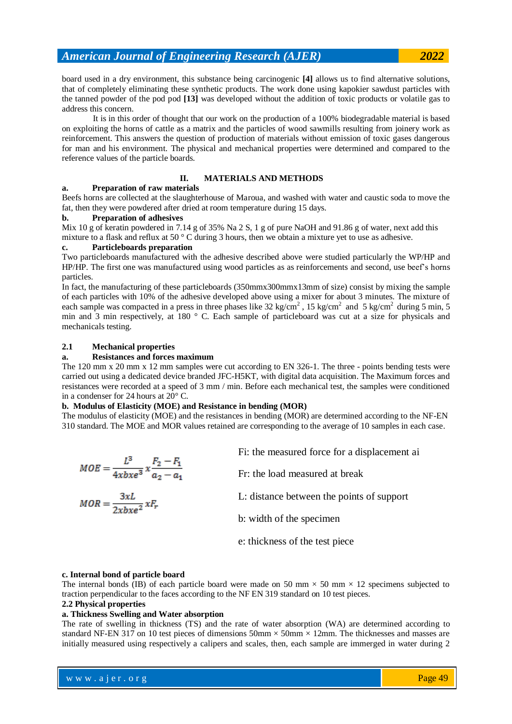board used in a dry environment, this substance being carcinogenic **[4]** allows us to find alternative solutions, that of completely eliminating these synthetic products. The work done using kapokier sawdust particles with the tanned powder of the pod pod **[13]** was developed without the addition of toxic products or volatile gas to address this concern.

It is in this order of thought that our work on the production of a 100% biodegradable material is based on exploiting the horns of cattle as a matrix and the particles of wood sawmills resulting from joinery work as reinforcement. This answers the question of production of materials without emission of toxic gases dangerous for man and his environment. The physical and mechanical properties were determined and compared to the reference values of the particle boards.

# **II. MATERIALS AND METHODS**

# **a. Preparation of raw materials**

Beefs horns are collected at the slaughterhouse of Maroua, and washed with water and caustic soda to move the fat, then they were powdered after dried at room temperature during 15 days.

# **b. Preparation of adhesives**

Mix 10 g of keratin powdered in 7.14 g of 35% Na 2 S, 1 g of pure NaOH and 91.86 g of water, next add this mixture to a flask and reflux at 50 ° C during 3 hours, then we obtain a mixture yet to use as adhesive.

# **c. Particleboards preparation**

Two particleboards manufactured with the adhesive described above were studied particularly the WP/HP and HP/HP. The first one was manufactured using wood particles as as reinforcements and second, use beef's horns particles.

In fact, the manufacturing of these particleboards (350mmx300mmx13mm of size) consist by mixing the sample of each particles with 10% of the adhesive developed above using a mixer for about 3 minutes. The mixture of each sample was compacted in a press in three phases like  $32 \text{ kg/cm}^2$ ,  $15 \text{ kg/cm}^2$  and  $5 \text{ kg/cm}^2$  during  $5 \text{ min}$ ,  $5$ min and 3 min respectively, at 180 ° C. Each sample of particleboard was cut at a size for physicals and mechanicals testing.

# **2.1 Mechanical properties**

#### **a. Resistances and forces maximum**

The 120 mm x 20 mm x 12 mm samples were cut according to EN 326-1. The three - points bending tests were carried out using a dedicated device branded JFC-H5KT, with digital data acquisition. The Maximum forces and resistances were recorded at a speed of 3 mm / min. Before each mechanical test, the samples were conditioned in a condenser for 24 hours at 20° C.

# **b. Modulus of Elasticity (MOE) and Resistance in bending (MOR)**

The modulus of elasticity (MOE) and the resistances in bending (MOR) are determined according to the NF-EN 310 standard. The MOE and MOR values retained are corresponding to the average of 10 samples in each case.

| $MOE = \frac{L^3}{4xbx^2} x \frac{F_2 - F_1}{a_2 - a_1}$ | Fi: the measured force for a displacement ai |
|----------------------------------------------------------|----------------------------------------------|
|                                                          | Fr: the load measured at break               |
| $MOR = \frac{3xL}{2xhxe^2}xF_r$                          | L: distance between the points of support    |
|                                                          | b: width of the specimen                     |
|                                                          | e: thickness of the test piece               |

#### **c. Internal bond of particle board**

The internal bonds (IB) of each particle board were made on 50 mm  $\times$  50 mm  $\times$  12 specimens subjected to traction perpendicular to the faces according to the NF EN 319 standard on 10 test pieces.

# **2.2 Physical properties**

#### **a. Thickness Swelling and Water absorption**

The rate of swelling in thickness (TS) and the rate of water absorption (WA) are determined according to standard NF-EN 317 on 10 test pieces of dimensions  $50 \text{mm} \times 50 \text{mm} \times 12 \text{mm}$ . The thicknesses and masses are initially measured using respectively a calipers and scales, then, each sample are immerged in water during 2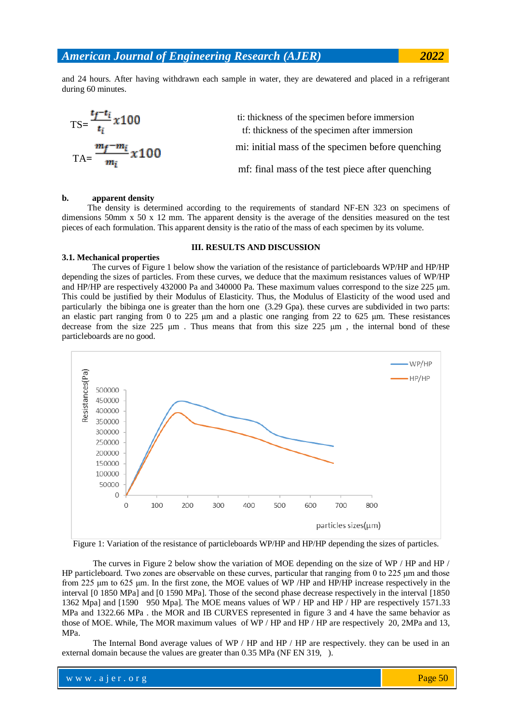and 24 hours. After having withdrawn each sample in water, they are dewatered and placed in a refrigerant during 60 minutes.

$$
TS = \frac{t_f - t_i}{t_i} \times 100
$$
ti: thickness of the specimen before immersion  
ti: thickness of the specimen after immersion  
mi: initial mass of the specimen before quenching  
mi: initial mass of the test piece after quenching  
mf: final mass of the test piece after quenching

#### **b. apparent density**

 The density is determined according to the requirements of standard NF-EN 323 on specimens of dimensions 50mm x 50 x 12 mm. The apparent density is the average of the densities measured on the test pieces of each formulation. This apparent density is the ratio of the mass of each specimen by its volume.

### **3.1. Mechanical properties**

#### **III. RESULTS AND DISCUSSION**

The curves of Figure 1 below show the variation of the resistance of particleboards WP/HP and HP/HP depending the sizes of particles. From these curves, we deduce that the maximum resistances values of WP/HP and HP/HP are respectively 432000 Pa and 340000 Pa. These maximum values correspond to the size 225 μm. This could be justified by their Modulus of Elasticity. Thus, the Modulus of Elasticity of the wood used and particularly the bibinga one is greater than the horn one (3.29 Gpa). these curves are subdivided in two parts: an elastic part ranging from 0 to 225 μm and a plastic one ranging from 22 to 625 μm. These resistances decrease from the size 225 μm . Thus means that from this size 225 μm , the internal bond of these particleboards are no good.



Figure 1: Variation of the resistance of particleboards WP/HP and HP/HP depending the sizes of particles.

The curves in Figure 2 below show the variation of MOE depending on the size of WP / HP and HP / HP particleboard. Two zones are observable on these curves, particular that ranging from 0 to 225 μm and those from 225 μm to 625 μm. In the first zone, the MOE values of WP /HP and HP/HP increase respectively in the interval [0 1850 MPa] and [0 1590 MPa]. Those of the second phase decrease respectively in the interval [1850 1362 Mpa] and [1590 950 Mpa]. The MOE means values of WP / HP and HP / HP are respectively 1571.33 MPa and 1322.66 MPa . the MOR and IB CURVES represented in figure 3 and 4 have the same behavior as those of MOE. While, The MOR maximum values of WP / HP and HP / HP are respectively 20, 2MPa and 13, MPa.

The Internal Bond average values of WP / HP and HP / HP are respectively. they can be used in an external domain because the values are greater than 0.35 MPa (NF EN 319, ).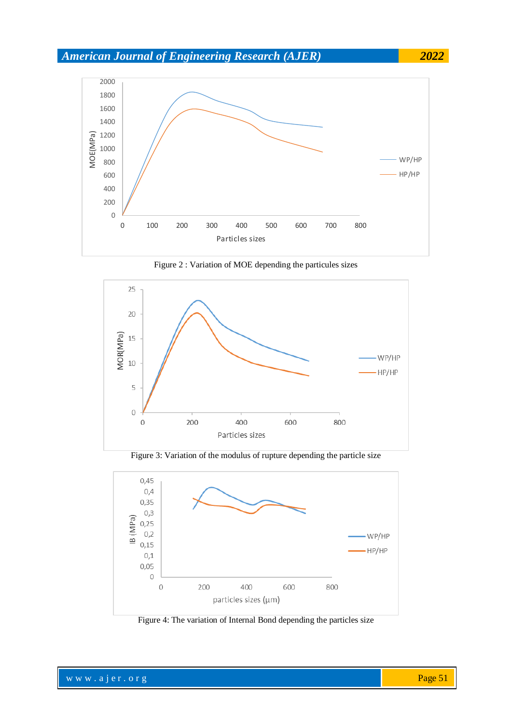# *American Journal of Engineering Research (AJER) 2022*



Figure 2 : Variation of MOE depending the particules sizes



Figure 3: Variation of the modulus of rupture depending the particle size



Figure 4: The variation of Internal Bond depending the particles size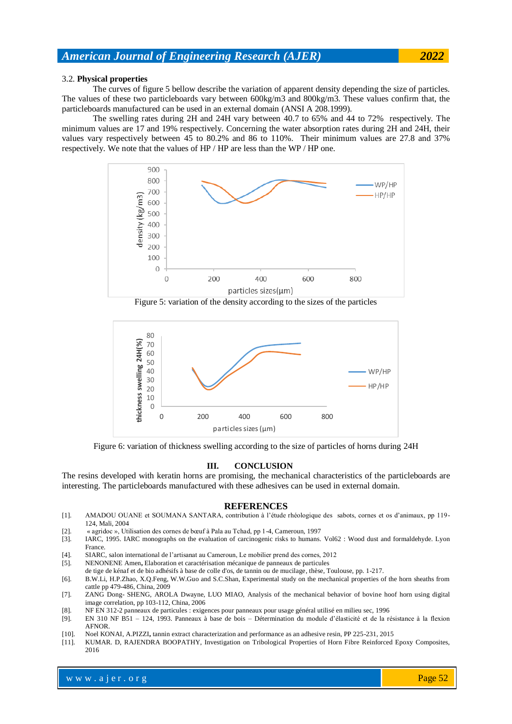# *American Journal of Engineering Research (AJER) 2022*

#### 3.2. **Physical properties**

The curves of figure 5 bellow describe the variation of apparent density depending the size of particles. The values of these two particleboards vary between 600kg/m3 and 800kg/m3. These values confirm that, the particleboards manufactured can be used in an external domain (ANSI A 208.1999).

The swelling rates during 2H and 24H vary between 40.7 to 65% and 44 to 72% respectively. The minimum values are 17 and 19% respectively. Concerning the water absorption rates during 2H and 24H, their values vary respectively between 45 to 80.2% and 86 to 110%. Their minimum values are 27.8 and 37% respectively. We note that the values of HP / HP are less than the WP / HP one.



Figure 5: variation of the density according to the sizes of the particles



Figure 6: variation of thickness swelling according to the size of particles of horns during 24H

### **III. CONCLUSION**

The resins developed with keratin horns are promising, the mechanical characteristics of the particleboards are interesting. The particleboards manufactured with these adhesives can be used in external domain.

#### **REFERENCES**

- [1]. AMADOU OUANE et SOUMANA SANTARA, contribution à l'étude rhéologique des sabots, cornes et os d'animaux, pp 119- 124, Mali, 2004
- [2]. « agridoc », Utilisation des cornes de bœuf à Pala au Tchad, pp 1-4, Cameroun, 1997
- [3]. IARC, 1995. IARC monographs on the evaluation of carcinogenic risks to humans. Vol62 : Wood dust and formaldehyde. Lyon France.
- [4]. SIARC, salon international de l'artisanat au Cameroun, Le mobilier prend des cornes, 2012
- [5]. NENONENE Amen**,** Elaboration et caractérisation mécanique de panneaux de particules
- de tige de kénaf et de bio adhésifs à base de colle d'os, de tannin ou de mucilage, thèse, Toulouse, pp. 1-217. [6]. B.W.Li, H.P.Zhao, X.Q.Feng, W.W.Guo and S.C.Shan, Experimental study on the mechanical properties of the horn sheaths from cattle pp 479-486, China, 2009
- [7]. ZANG Dong- SHENG, AROLA Dwayne, LUO MIAO, Analysis of the mechanical behavior of bovine hoof horn using digital image correlation, pp 103-112, China, 2006
- [8]. NF EN 312-2 panneaux de particules : exigences pour panneaux pour usage général utilisé en milieu sec, 1996
- [9]. EN 310 NF B51 124, 1993. Panneaux à base de bois Détermination du module d'élasticité et de la résistance à la flexion AFNOR.
- [10]. Noel KONAI, A.PIZZI**,** tannin extract characterization and performance as an adhesive resin, PP 225-231, 2015
- [11]. KUMAR. D, RAJENDRA BOOPATHY, Investigation on Tribological Properties of Horn Fibre Reinforced Epoxy Composites, 2016